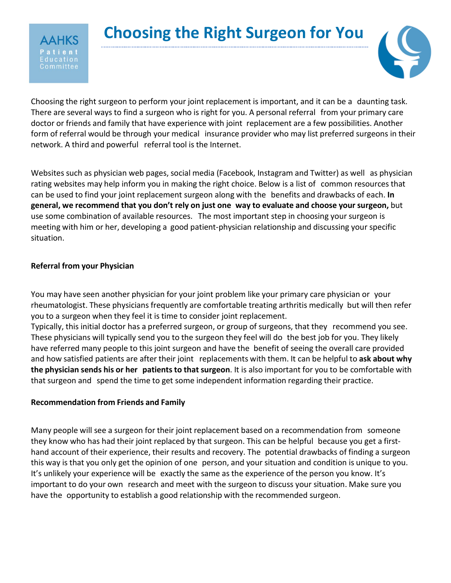

Choosing the right surgeon to perform your joint replacement is important, and it can be a daunting task. There are several ways to find a surgeon who is right for you. A personal referral from your primary care doctor or friends and family that have experience with joint replacement are a few possibilities. Another form of referral would be through your medical insurance provider who may list preferred surgeons in their network. A third and powerful referral tool is the Internet.

Websites such as physician web pages, social media (Facebook, Instagram and Twitter) as well as physician rating websites may help inform you in making the right choice. Below is a list of common resources that can be used to find your joint replacement surgeon along with the benefits and drawbacks of each. **In general, we recommend that you don't rely on just one way to evaluate and choose your surgeon,** but use some combination of available resources. The most important step in choosing your surgeon is meeting with him or her, developing a good patient-physician relationship and discussing your specific situation.

# **Referral from your Physician**

3 o m m i t t e e

You may have seen another physician for your joint problem like your primary care physician or your rheumatologist. These physicians frequently are comfortable treating arthritis medically but will then refer you to a surgeon when they feel it is time to consider joint replacement.

Typically, this initial doctor has a preferred surgeon, or group of surgeons, that they recommend you see. These physicians will typically send you to the surgeon they feel will do the best job for you. They likely have referred many people to this joint surgeon and have the benefit of seeing the overall care provided and how satisfied patients are after their joint replacements with them. It can be helpful to **ask about why the physician sends his or her patients to that surgeon**. It is also important for you to be comfortable with that surgeon and spend the time to get some independent information regarding their practice.

# **Recommendation from Friends and Family**

Many people will see a surgeon for their joint replacement based on a recommendation from someone they know who has had their joint replaced by that surgeon. This can be helpful because you get a firsthand account of their experience, their results and recovery. The potential drawbacks of finding a surgeon this way is that you only get the opinion of one person, and your situation and condition is unique to you. It's unlikely your experience will be exactly the same as the experience of the person you know. It's important to do your own research and meet with the surgeon to discuss your situation. Make sure you have the opportunity to establish a good relationship with the recommended surgeon.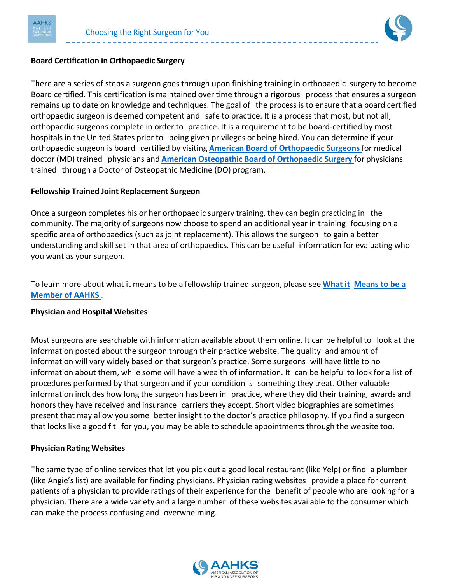



## **Board Certification in Orthopaedic Surgery**

There are a series of steps a surgeon goes through upon finishing training in orthopaedic surgery to become Board certified. This certification is maintained over time through a rigorous process that ensures a surgeon remains up to date on knowledge and techniques. The goal of the process is to ensure that a board certified orthopaedic surgeon is deemed competent and safe to practice. It is a process that most, but not all, orthopaedic surgeons complete in order to practice. It is a requirement to be board-certified by most hospitals in the United States prior to being given privileges or being hired. You can determine if your orthopaedic surgeon is board certified by visiting **American Board of [Orthopaedic](https://www.abos.org/) Surgeons** for medical doctor (MD) trained physicians and **American Osteopathic Board of [Orthopaedic](https://certification.osteopathic.org/orthopedic-surgery/) Surgery** for physicians trained through a Doctor of Osteopathic Medicine (DO) program.

### **Fellowship Trained Joint Replacement Surgeon**

Once a surgeon completes his or her orthopaedic surgery training, they can begin practicing in the community. The majority of surgeons now choose to spend an additional year in training focusing on a specific area of orthopaedics (such as joint replacement). This allows the surgeon to gain a better understanding and skill set in that area of orthopaedics. This can be useful information for evaluating who you want as your surgeon.

To learn more about what it means to be a fellowship trained surgeon, please see **[What](https://hipknee.aahks.org/what-it-means-to-be-a-member-of-aahks/) it [Means](https://hipknee.aahks.org/what-it-means-to-be-a-member-of-aahks/) to be a [Member](https://hipknee.aahks.org/what-it-means-to-be-a-member-of-aahks/) of AAHKS** .

### **Physician and Hospital Websites**

Most surgeons are searchable with information available about them online. It can be helpful to look at the information posted about the surgeon through their practice website. The quality and amount of information will vary widely based on that surgeon's practice. Some surgeons will have little to no information about them, while some will have a wealth of information. It can be helpful to look for a list of procedures performed by that surgeon and if your condition is something they treat. Other valuable information includes how long the surgeon has been in practice, where they did their training, awards and honors they have received and insurance carriers they accept. Short video biographies are sometimes present that may allow you some better insight to the doctor's practice philosophy. If you find a surgeon that looks like a good fit for you, you may be able to schedule appointments through the website too.

### **Physician Rating Websites**

The same type of online services that let you pick out a good local restaurant (like Yelp) or find a plumber (like Angie's list) are available for finding physicians. Physician rating websites provide a place for current patients of a physician to provide ratings of their experience for the benefit of people who are looking for a physician. There are a wide variety and a large number of these websites available to the consumer which can make the process confusing and overwhelming.

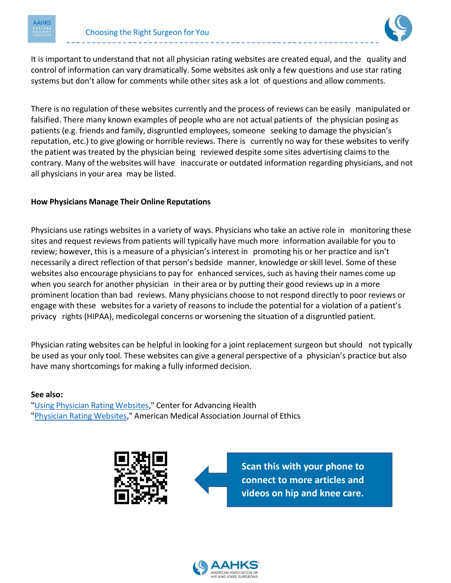



It is important to understand that not all physician rating websites are created equal, and the quality and control of information can vary dramatically. Some websites ask only a few questions and use star rating systems but don't allow for comments while other sites ask a lot of questions and allow comments.

There is no regulation of these websites currently and the process of reviews can be easily manipulated or falsified. There many known examples of people who are not actual patients of the physician posing as patients (e.g. friends and family, disgruntled employees, someone seeking to damage the physician's reputation, etc.) to give glowing or horrible reviews. There is currently no way for these websites to verify the patient was treated by the physician being reviewed despite some sites advertising claims to the contrary. Many of the websites will have inaccurate or outdated information regarding physicians, and not all physicians in your area may be listed.

## **How Physicians Manage Their Online Reputations**

Physicians use ratings websites in a variety of ways. Physicians who take an active role in monitoring these sites and request reviews from patients will typically have much more information available for you to review; however, this is a measure of a physician's interest in promoting his or her practice and isn't necessarily a direct reflection of that person's bedside manner, knowledge or skill level. Some of these websites also encourage physicians to pay for enhanced services, such as having their names come up when you search for another physician in their area or by putting their good reviews up in a more prominent location than bad reviews. Many physicians choose to not respond directly to poor reviews or engage with these websites for a variety of reasons to include the potential for a violation of a patient's privacy rights (HIPAA), medicolegal concerns or worsening the situation of a disgruntled patient.

Physician rating websites can be helpful in looking for a joint replacement surgeon but should not typically be used as your only tool. These websites can give a general perspective of a physician's practice but also have many shortcomings for making a fully informed decision.

#### **See also:**

"Using Physician Rating [Websites,](http://www.cfah.org/prepared-patient/prepared-patient-articles/using-physician-rating-websites)" Center for Advancing Health ["Physician](https://journalofethics.ama-assn.org/article/physician-rating-websites/2013-11) Rating Websites," American Medical Association Journal of Ethics



**Scan this with your phone to connect to more articles and videos on hip and knee care.**